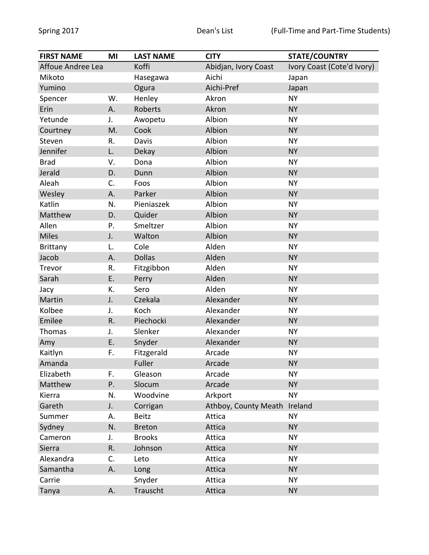| <b>FIRST NAME</b> | MI | <b>LAST NAME</b> | <b>CITY</b>          | <b>STATE/COUNTRY</b>       |
|-------------------|----|------------------|----------------------|----------------------------|
| Affoue Andree Lea |    | Koffi            | Abidjan, Ivory Coast | Ivory Coast (Cote'd Ivory) |
| Mikoto            |    | Hasegawa         | Aichi                | Japan                      |
| Yumino            |    | Ogura            | Aichi-Pref           | Japan                      |
| Spencer           | W. | Henley           | Akron                | <b>NY</b>                  |
| Erin              | Α. | Roberts          | Akron                | <b>NY</b>                  |
| Yetunde           | J. | Awopetu          | Albion               | <b>NY</b>                  |
| Courtney          | M. | Cook             | Albion               | <b>NY</b>                  |
| Steven            | R. | Davis            | Albion               | <b>NY</b>                  |
| Jennifer          | L. | Dekay            | Albion               | <b>NY</b>                  |
| <b>Brad</b>       | V. | Dona             | Albion               | <b>NY</b>                  |
| Jerald            | D. | Dunn             | Albion               | <b>NY</b>                  |
| Aleah             | C. | Foos             | Albion               | <b>NY</b>                  |
| Wesley            | Α. | Parker           | Albion               | <b>NY</b>                  |
| Katlin            | N. | Pieniaszek       | Albion               | <b>NY</b>                  |
| Matthew           | D. | Quider           | Albion               | <b>NY</b>                  |
| Allen             | P. | Smeltzer         | Albion               | <b>NY</b>                  |
| <b>Miles</b>      | J. | Walton           | Albion               | <b>NY</b>                  |
| Brittany          | L. | Cole             | Alden                | <b>NY</b>                  |
| Jacob             | Α. | <b>Dollas</b>    | Alden                | <b>NY</b>                  |
| Trevor            | R. | Fitzgibbon       | Alden                | <b>NY</b>                  |
| Sarah             | Ε. | Perry            | Alden                | <b>NY</b>                  |
| Jacy              | К. | Sero             | Alden                | <b>NY</b>                  |
| Martin            | J. | Czekala          | Alexander            | <b>NY</b>                  |
| Kolbee            | J. | Koch             | Alexander            | <b>NY</b>                  |
| Emilee            | R. | Piechocki        | Alexander            | <b>NY</b>                  |
| Thomas            | J. | Slenker          | Alexander            | <b>NY</b>                  |
| Amy               | E. | Snyder           | Alexander            | <b>NY</b>                  |
| Kaitlyn           | F. | Fitzgerald       | Arcade               | <b>NY</b>                  |
| Amanda            |    | Fuller           | Arcade               | <b>NY</b>                  |
| Elizabeth         | F. | Gleason          | Arcade               | <b>NY</b>                  |
| Matthew           | Ρ. | Slocum           | Arcade               | <b>NY</b>                  |
| Kierra            | N. | Woodvine         | Arkport              | <b>NY</b>                  |
| Gareth            | J. | Corrigan         | Athboy, County Meath | Ireland                    |
| Summer            | А. | <b>Beitz</b>     | Attica               | <b>NY</b>                  |
| Sydney            | N. | <b>Breton</b>    | Attica               | <b>NY</b>                  |
| Cameron           | J. | <b>Brooks</b>    | Attica               | <b>NY</b>                  |
| Sierra            | R. | Johnson          | Attica               | <b>NY</b>                  |
| Alexandra         | C. | Leto             | Attica               | <b>NY</b>                  |
| Samantha          | Α. | Long             | Attica               | <b>NY</b>                  |
| Carrie            |    | Snyder           | Attica               | <b>NY</b>                  |
| Tanya             | Α. | Trauscht         | Attica               | <b>NY</b>                  |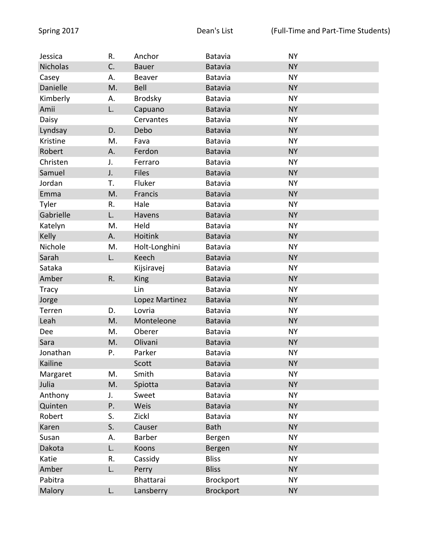| Jessica         | R. | Anchor         | Batavia          | <b>NY</b> |
|-----------------|----|----------------|------------------|-----------|
| <b>Nicholas</b> | C. | <b>Bauer</b>   | Batavia          | <b>NY</b> |
| Casey           | А. | Beaver         | Batavia          | <b>NY</b> |
| Danielle        | M. | Bell           | Batavia          | <b>NY</b> |
| Kimberly        | А. | <b>Brodsky</b> | Batavia          | <b>NY</b> |
| Amii            | L. | Capuano        | Batavia          | <b>NY</b> |
| Daisy           |    | Cervantes      | Batavia          | <b>NY</b> |
| Lyndsay         | D. | Debo           | <b>Batavia</b>   | <b>NY</b> |
| Kristine        | M. | Fava           | Batavia          | <b>NY</b> |
| Robert          | А. | Ferdon         | Batavia          | <b>NY</b> |
| Christen        | J. | Ferraro        | Batavia          | <b>NY</b> |
| Samuel          | J. | <b>Files</b>   | Batavia          | <b>NY</b> |
| Jordan          | Т. | Fluker         | Batavia          | <b>NY</b> |
| Emma            | M. | Francis        | Batavia          | <b>NY</b> |
| Tyler           | R. | Hale           | Batavia          | <b>NY</b> |
| Gabrielle       | L. | Havens         | Batavia          | <b>NY</b> |
| Katelyn         | M. | Held           | Batavia          | <b>NY</b> |
| Kelly           | А. | Hoitink        | Batavia          | <b>NY</b> |
| Nichole         | M. | Holt-Longhini  | Batavia          | <b>NY</b> |
| Sarah           | L. | Keech          | Batavia          | <b>NY</b> |
| Sataka          |    | Kijsiravej     | Batavia          | <b>NY</b> |
| Amber           | R. | King           | Batavia          | <b>NY</b> |
| <b>Tracy</b>    |    | Lin            | Batavia          | <b>NY</b> |
| Jorge           |    | Lopez Martinez | Batavia          | <b>NY</b> |
| Terren          | D. | Lovria         | Batavia          | <b>NY</b> |
| Leah            | M. | Monteleone     | Batavia          | <b>NY</b> |
| Dee             | M. | Oberer         | Batavia          | <b>NY</b> |
| Sara            | M. | Olivani        | Batavia          | <b>NY</b> |
| Jonathan        | Ρ. | Parker         | Batavia          | <b>NY</b> |
| Kailine         |    | Scott          | Batavia          | <b>NY</b> |
| Margaret        | M. | Smith          | Batavia          | <b>NY</b> |
| Julia           | M. | Spiotta        | Batavia          | <b>NY</b> |
| Anthony         | J. | Sweet          | Batavia          | <b>NY</b> |
| Quinten         | Ρ. | Weis           | <b>Batavia</b>   | <b>NY</b> |
| Robert          | S. | Zickl          | Batavia          | <b>NY</b> |
| Karen           | S. | Causer         | <b>Bath</b>      | <b>NY</b> |
| Susan           | А. | Barber         | Bergen           | <b>NY</b> |
| Dakota          | L. | Koons          | Bergen           | <b>NY</b> |
| Katie           | R. | Cassidy        | <b>Bliss</b>     | <b>NY</b> |
| Amber           | L. | Perry          | <b>Bliss</b>     | <b>NY</b> |
| Pabitra         |    | Bhattarai      | <b>Brockport</b> | <b>NY</b> |
| Malory          | L. | Lansberry      | <b>Brockport</b> | <b>NY</b> |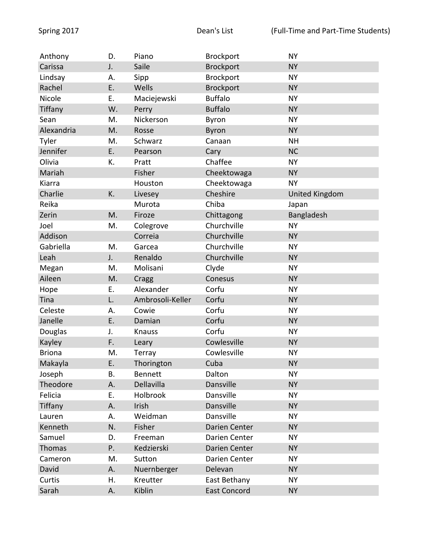| Anthony       | D. | Piano            | Brockport           | <b>NY</b>             |
|---------------|----|------------------|---------------------|-----------------------|
| Carissa       | J. | Saile            | <b>Brockport</b>    | <b>NY</b>             |
| Lindsay       | А. | Sipp             | <b>Brockport</b>    | <b>NY</b>             |
| Rachel        | E. | Wells            | <b>Brockport</b>    | <b>NY</b>             |
| Nicole        | Ε. | Maciejewski      | <b>Buffalo</b>      | <b>NY</b>             |
| Tiffany       | W. | Perry            | <b>Buffalo</b>      | <b>NY</b>             |
| Sean          | M. | Nickerson        | Byron               | <b>NY</b>             |
| Alexandria    | M. | Rosse            | <b>Byron</b>        | <b>NY</b>             |
| Tyler         | M. | Schwarz          | Canaan              | <b>NH</b>             |
| Jennifer      | E. | Pearson          | Cary                | <b>NC</b>             |
| Olivia        | K. | Pratt            | Chaffee             | <b>NY</b>             |
| Mariah        |    | Fisher           | Cheektowaga         | <b>NY</b>             |
| Kiarra        |    | Houston          | Cheektowaga         | <b>NY</b>             |
| Charlie       | K. | Livesey          | Cheshire            | <b>United Kingdom</b> |
| Reika         |    | Murota           | Chiba               | Japan                 |
| Zerin         | M. | Firoze           | Chittagong          | Bangladesh            |
| Joel          | M. | Colegrove        | Churchville         | <b>NY</b>             |
| Addison       |    | Correia          | Churchville         | <b>NY</b>             |
| Gabriella     | M. | Garcea           | Churchville         | <b>NY</b>             |
| Leah          | J. | Renaldo          | Churchville         | <b>NY</b>             |
| Megan         | M. | Molisani         | Clyde               | <b>NY</b>             |
| Aileen        | M. | Cragg            | Conesus             | <b>NY</b>             |
| Hope          | Ε. | Alexander        | Corfu               | <b>NY</b>             |
| Tina          | L. | Ambrosoli-Keller | Corfu               | <b>NY</b>             |
| Celeste       | А. | Cowie            | Corfu               | <b>NY</b>             |
| Janelle       | Ε. | Damian           | Corfu               | <b>NY</b>             |
| Douglas       | J. | Knauss           | Corfu               | <b>NY</b>             |
| Kayley        | F. | Leary            | Cowlesville         | <b>NY</b>             |
| <b>Briona</b> | M. | Terray           | Cowlesville         | <b>NY</b>             |
| Makayla       | Ε. | Thorington       | Cuba                | <b>NY</b>             |
| Joseph        | В. | <b>Bennett</b>   | Dalton              | <b>NY</b>             |
| Theodore      | Α. | Dellavilla       | Dansville           | <b>NY</b>             |
| Felicia       | Ε. | Holbrook         | Dansville           | <b>NY</b>             |
| Tiffany       | Α. | Irish            | Dansville           | <b>NY</b>             |
| Lauren        | Α. | Weidman          | Dansville           | <b>NY</b>             |
| Kenneth       | N. | Fisher           | Darien Center       | <b>NY</b>             |
| Samuel        | D. | Freeman          | Darien Center       | <b>NY</b>             |
| Thomas        | Ρ. | Kedzierski       | Darien Center       | <b>NY</b>             |
| Cameron       | M. | Sutton           | Darien Center       | <b>NY</b>             |
| David         | Α. | Nuernberger      | Delevan             | <b>NY</b>             |
| Curtis        | Η. | Kreutter         | East Bethany        | <b>NY</b>             |
| Sarah         | Α. | Kiblin           | <b>East Concord</b> | <b>NY</b>             |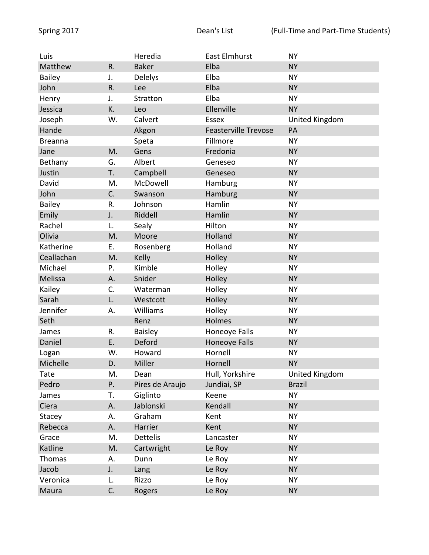| Luis           |    | Heredia         | East Elmhurst               | <b>NY</b>             |
|----------------|----|-----------------|-----------------------------|-----------------------|
| Matthew        | R. | <b>Baker</b>    | Elba                        | <b>NY</b>             |
| <b>Bailey</b>  | J. | <b>Delelys</b>  | Elba                        | <b>NY</b>             |
| John           | R. | Lee             | Elba                        | <b>NY</b>             |
| Henry          | J. | Stratton        | Elba                        | <b>NY</b>             |
| Jessica        | K. | Leo             | Ellenville                  | <b>NY</b>             |
| Joseph         | W. | Calvert         | <b>Essex</b>                | United Kingdom        |
| Hande          |    | Akgon           | <b>Feasterville Trevose</b> | PA                    |
| <b>Breanna</b> |    | Speta           | Fillmore                    | <b>NY</b>             |
| Jane           | M. | Gens            | Fredonia                    | <b>NY</b>             |
| Bethany        | G. | Albert          | Geneseo                     | <b>NY</b>             |
| Justin         | T. | Campbell        | Geneseo                     | <b>NY</b>             |
| David          | M. | McDowell        | Hamburg                     | <b>NY</b>             |
| John           | C. | Swanson         | Hamburg                     | <b>NY</b>             |
| <b>Bailey</b>  | R. | Johnson         | Hamlin                      | <b>NY</b>             |
| Emily          | J. | Riddell         | Hamlin                      | <b>NY</b>             |
| Rachel         | L. | Sealy           | Hilton                      | <b>NY</b>             |
| Olivia         | M. | Moore           | Holland                     | <b>NY</b>             |
| Katherine      | E. | Rosenberg       | Holland                     | <b>NY</b>             |
| Ceallachan     | M. | Kelly           | Holley                      | <b>NY</b>             |
| Michael        | P. | Kimble          | Holley                      | <b>NY</b>             |
| Melissa        | Α. | Snider          | Holley                      | <b>NY</b>             |
| Kailey         | C. | Waterman        | Holley                      | <b>NY</b>             |
| Sarah          | L. | Westcott        | Holley                      | <b>NY</b>             |
| Jennifer       | А. | Williams        | Holley                      | <b>NY</b>             |
| Seth           |    | Renz            | Holmes                      | <b>NY</b>             |
| James          | R. | <b>Baisley</b>  | Honeoye Falls               | <b>NY</b>             |
| Daniel         | Ε. | Deford          | Honeoye Falls               | <b>NY</b>             |
| Logan          | W. | Howard          | Hornell                     | <b>NY</b>             |
| Michelle       | D. | Miller          | Hornell                     | <b>NY</b>             |
| Tate           | M. | Dean            | Hull, Yorkshire             | <b>United Kingdom</b> |
| Pedro          | Ρ. | Pires de Araujo | Jundiai, SP                 | <b>Brazil</b>         |
| James          | T. | Giglinto        | Keene                       | <b>NY</b>             |
| Ciera          | Α. | Jablonski       | Kendall                     | <b>NY</b>             |
| Stacey         | А. | Graham          | Kent                        | <b>NY</b>             |
| Rebecca        | Α. | Harrier         | Kent                        | <b>NY</b>             |
| Grace          | M. | <b>Dettelis</b> | Lancaster                   | <b>NY</b>             |
| Katline        | M. | Cartwright      | Le Roy                      | <b>NY</b>             |
| Thomas         | А. | Dunn            | Le Roy                      | <b>NY</b>             |
| Jacob          | J. | Lang            | Le Roy                      | <b>NY</b>             |
| Veronica       | L. | Rizzo           | Le Roy                      | <b>NY</b>             |
| Maura          | C. | Rogers          | Le Roy                      | <b>NY</b>             |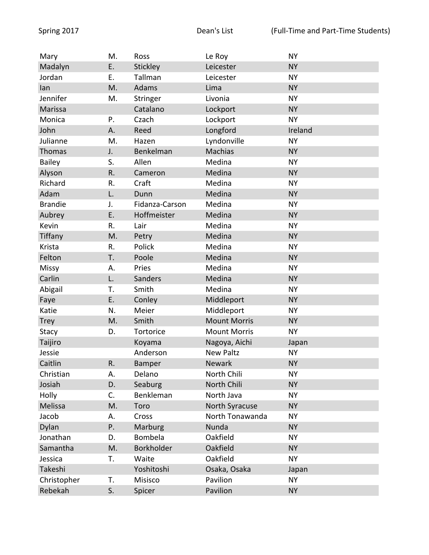| Mary           | M. | Ross           | Le Roy              | <b>NY</b> |
|----------------|----|----------------|---------------------|-----------|
| Madalyn        | E. | Stickley       | Leicester           | <b>NY</b> |
| Jordan         | Ε. | Tallman        | Leicester           | <b>NY</b> |
| lan            | M. | Adams          | Lima                | <b>NY</b> |
| Jennifer       | M. | Stringer       | Livonia             | <b>NY</b> |
| Marissa        |    | Catalano       | Lockport            | <b>NY</b> |
| Monica         | P. | Czach          | Lockport            | <b>NY</b> |
| John           | Α. | Reed           | Longford            | Ireland   |
| Julianne       | M. | Hazen          | Lyndonville         | <b>NY</b> |
| <b>Thomas</b>  | J. | Benkelman      | Machias             | <b>NY</b> |
| <b>Bailey</b>  | S. | Allen          | Medina              | <b>NY</b> |
| Alyson         | R. | Cameron        | Medina              | <b>NY</b> |
| Richard        | R. | Craft          | Medina              | <b>NY</b> |
| Adam           | L. | Dunn           | Medina              | <b>NY</b> |
| <b>Brandie</b> | J. | Fidanza-Carson | Medina              | <b>NY</b> |
| Aubrey         | E. | Hoffmeister    | Medina              | <b>NY</b> |
| Kevin          | R. | Lair           | Medina              | <b>NY</b> |
| Tiffany        | M. | Petry          | Medina              | <b>NY</b> |
| Krista         | R. | Polick         | Medina              | <b>NY</b> |
| Felton         | T. | Poole          | Medina              | <b>NY</b> |
| Missy          | А. | Pries          | Medina              | <b>NY</b> |
| Carlin         | L. | Sanders        | Medina              | <b>NY</b> |
| Abigail        | Т. | Smith          | Medina              | <b>NY</b> |
| Faye           | E. | Conley         | Middleport          | <b>NY</b> |
| Katie          | N. | Meier          | Middleport          | <b>NY</b> |
| <b>Trey</b>    | M. | Smith          | <b>Mount Morris</b> | <b>NY</b> |
| Stacy          | D. | Tortorice      | <b>Mount Morris</b> | <b>NY</b> |
| Taijiro        |    | Koyama         | Nagoya, Aichi       | Japan     |
| Jessie         |    | Anderson       | <b>New Paltz</b>    | <b>NY</b> |
| Caitlin        | R. | Bamper         | Newark              | <b>NY</b> |
| Christian      | Α. | Delano         | North Chili         | <b>NY</b> |
| Josiah         | D. | Seaburg        | North Chili         | <b>NY</b> |
| Holly          | C. | Benkleman      | North Java          | <b>NY</b> |
| Melissa        | M. | Toro           | North Syracuse      | <b>NY</b> |
| Jacob          | А. | Cross          | North Tonawanda     | <b>NY</b> |
| Dylan          | Ρ. | Marburg        | Nunda               | <b>NY</b> |
| Jonathan       | D. | Bombela        | Oakfield            | <b>NY</b> |
| Samantha       | M. | Borkholder     | Oakfield            | <b>NY</b> |
| Jessica        | T. | Waite          | Oakfield            | <b>NY</b> |
| Takeshi        |    | Yoshitoshi     | Osaka, Osaka        | Japan     |
| Christopher    | Т. | Misisco        | Pavilion            | <b>NY</b> |
| Rebekah        | S. | Spicer         | Pavilion            | <b>NY</b> |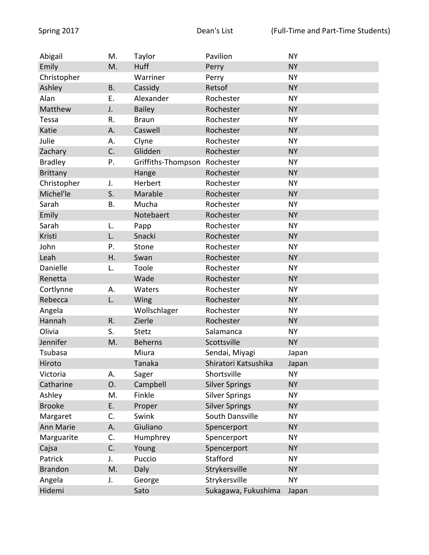| Abigail         | M.        | Taylor             | Pavilion              | <b>NY</b> |
|-----------------|-----------|--------------------|-----------------------|-----------|
| Emily           | M.        | Huff               | Perry                 | <b>NY</b> |
| Christopher     |           | Warriner           | Perry                 | <b>NY</b> |
| Ashley          | <b>B.</b> | Cassidy            | Retsof                | <b>NY</b> |
| Alan            | Ε.        | Alexander          | Rochester             | <b>NY</b> |
| Matthew         | J.        | <b>Bailey</b>      | Rochester             | <b>NY</b> |
| Tessa           | R.        | <b>Braun</b>       | Rochester             | <b>NY</b> |
| Katie           | Α.        | Caswell            | Rochester             | <b>NY</b> |
| Julie           | Α.        | Clyne              | Rochester             | <b>NY</b> |
| Zachary         | C.        | Glidden            | Rochester             | <b>NY</b> |
| <b>Bradley</b>  | Ρ.        | Griffiths-Thompson | Rochester             | <b>NY</b> |
| <b>Brittany</b> |           | Hange              | Rochester             | <b>NY</b> |
| Christopher     | J.        | Herbert            | Rochester             | <b>NY</b> |
| Michel'le       | S.        | Marable            | Rochester             | <b>NY</b> |
| Sarah           | <b>B.</b> | Mucha              | Rochester             | <b>NY</b> |
| Emily           |           | Notebaert          | Rochester             | <b>NY</b> |
| Sarah           | L.        | Papp               | Rochester             | <b>NY</b> |
| Kristi          | L.        | Snacki             | Rochester             | <b>NY</b> |
| John            | Ρ.        | Stone              | Rochester             | <b>NY</b> |
| Leah            | Η.        | Swan               | Rochester             | <b>NY</b> |
| Danielle        | L.        | Toole              | Rochester             | <b>NY</b> |
| Renetta         |           | Wade               | Rochester             | <b>NY</b> |
| Cortlynne       | А.        | Waters             | Rochester             | <b>NY</b> |
| Rebecca         | L.        | Wing               | Rochester             | <b>NY</b> |
| Angela          |           | Wollschlager       | Rochester             | <b>NY</b> |
| Hannah          | R.        | Zierle             | Rochester             | <b>NY</b> |
| Olivia          | S.        | <b>Stetz</b>       | Salamanca             | <b>NY</b> |
| Jennifer        | M.        | <b>Beherns</b>     | Scottsville           | <b>NY</b> |
| Tsubasa         |           | Miura              | Sendai, Miyagi        | Japan     |
| Hiroto          |           | Tanaka             | Shiratori Katsushika  | Japan     |
| Victoria        | А.        | Sager              | Shortsville           | <b>NY</b> |
| Catharine       | 0.        | Campbell           | <b>Silver Springs</b> | <b>NY</b> |
| Ashley          | M.        | Finkle             | <b>Silver Springs</b> | <b>NY</b> |
| <b>Brooke</b>   | E.        | Proper             | <b>Silver Springs</b> | <b>NY</b> |
| Margaret        | C.        | Swink              | South Dansville       | <b>NY</b> |
| Ann Marie       | Α.        | Giuliano           | Spencerport           | <b>NY</b> |
| Marguarite      | C.        | Humphrey           | Spencerport           | <b>NY</b> |
| Cajsa           | C.        | Young              | Spencerport           | <b>NY</b> |
| Patrick         | J.        | Puccio             | Stafford              | <b>NY</b> |
| <b>Brandon</b>  | M.        | Daly               | Strykersville         | <b>NY</b> |
| Angela          | J.        | George             | Strykersville         | <b>NY</b> |
| Hidemi          |           | Sato               | Sukagawa, Fukushima   | Japan     |